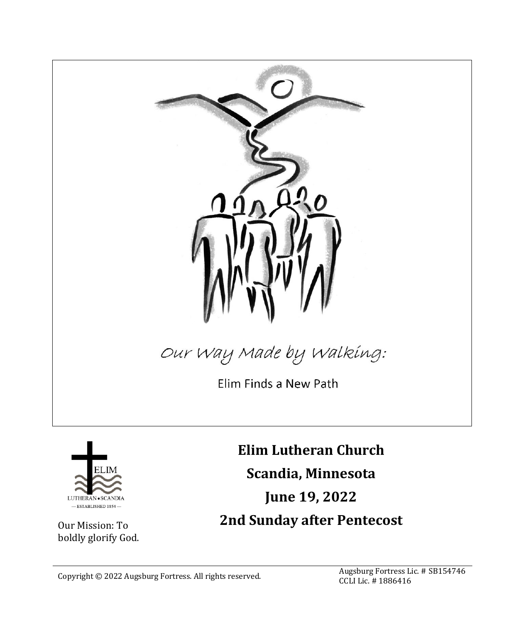

Our Mission: To boldly glorify God.

- ESTABLISHED 1854

**June 19, 2022 2nd Sunday after Pentecost**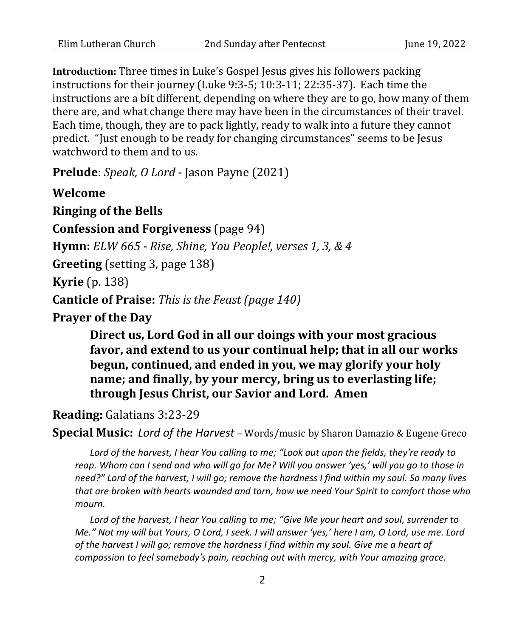**Introduction:** Three times in Luke's Gospel Jesus gives his followers packing instructions for their journey (Luke 9:3-5; 10:3-11; 22:35-37). Each time the instructions are a bit different, depending on where they are to go, how many of them there are, and what change there may have been in the circumstances of their travel. Each time, though, they are to pack lightly, ready to walk into a future they cannot predict. "Just enough to be ready for changing circumstances" seems to be Jesus watchword to them and to us.

**Prelude**: *Speak, O Lord* - Jason Payne (2021)

**Welcome Ringing of the Bells Confession and Forgiveness** (page 94) **Hymn:** *ELW 665 - Rise, Shine, You People!, verses 1, 3, & 4* **Greeting** (setting 3, page 138) **Kyrie** (p. 138) **Canticle of Praise:** *This is the Feast (page 140)* **Prayer of the Day**

> **Direct us, Lord God in all our doings with your most gracious favor, and extend to us your continual help; that in all our works begun, continued, and ended in you, we may glorify your holy name; and finally, by your mercy, bring us to everlasting life; through Jesus Christ, our Savior and Lord. Amen**

### **Reading:** Galatians 3:23-29

**Special Music:** *Lord of the Harvest* – Words/music by Sharon Damazio & Eugene Greco

*Lord of the harvest, I hear You calling to me; "Look out upon the fields, they're ready to reap. Whom can I send and who will go for Me? Will you answer 'yes,' will you go to those in need?" Lord of the harvest, I will go; remove the hardness I find within my soul. So many lives that are broken with hearts wounded and torn, how we need Your Spirit to comfort those who mourn.*

*Lord of the harvest, I hear You calling to me; "Give Me your heart and soul, surrender to Me." Not my will but Yours, O Lord, I seek. I will answer 'yes,' here I am, O Lord, use me. Lord of the harvest I will go; remove the hardness I find within my soul. Give me a heart of compassion to feel somebody's pain, reaching out with mercy, with Your amazing grace.*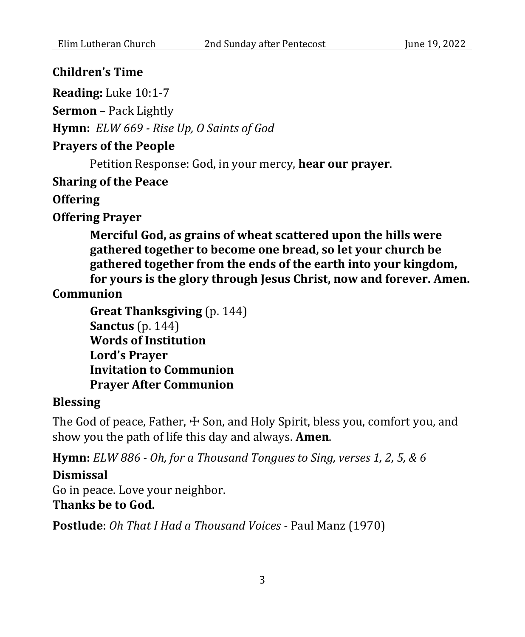## **Children's Time**

**Reading:** Luke 10:1-7

**Sermon** – Pack Lightly

**Hymn:** *ELW 669 - Rise Up, O Saints of God*

# **Prayers of the People**

Petition Response: God, in your mercy, **hear our prayer**.

## **Sharing of the Peace**

**Offering**

**Offering Prayer**

**Merciful God, as grains of wheat scattered upon the hills were gathered together to become one bread, so let your church be gathered together from the ends of the earth into your kingdom, for yours is the glory through Jesus Christ, now and forever. Amen.**

**Communion**

```
Great Thanksgiving (p. 144)
Sanctus (p. 144)
Words of Institution
Lord's Prayer 
Invitation to Communion
Prayer After Communion
```
### **Blessing**

The God of peace, Father,  $\pm$  Son, and Holy Spirit, bless you, comfort you, and show you the path of life this day and always. **Amen**.

**Hymn:** *ELW 886 - Oh, for a Thousand Tongues to Sing, verses 1, 2, 5, & 6*

### **Dismissal**

Go in peace. Love your neighbor. **Thanks be to God.**

**Postlude**: *Oh That I Had a Thousand Voices* - Paul Manz (1970)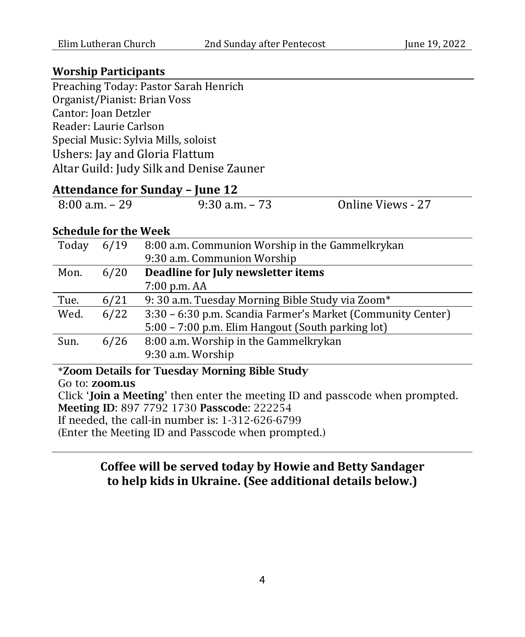#### **Worship Participants**

Preaching Today: Pastor Sarah Henrich Organist/Pianist: Brian Voss Cantor: Joan Detzler Reader: Laurie Carlson Special Music: Sylvia Mills, soloist Ushers: Jay and Gloria Flattum Altar Guild: Judy Silk and Denise Zauner

# **Attendance for Sunday – June 12**

|  | 8:00 a.m. – 29 | $9:30$ a.m. $-73$ | Online Views - 27 |
|--|----------------|-------------------|-------------------|
|--|----------------|-------------------|-------------------|

#### **Schedule for the Week**

| Today | 6/19 | 8:00 a.m. Communion Worship in the Gammelkrykan             |
|-------|------|-------------------------------------------------------------|
|       |      | 9:30 a.m. Communion Worship                                 |
| Mon.  | 6/20 | Deadline for July newsletter items                          |
|       |      | 7:00 p.m. AA                                                |
| Tue.  | 6/21 | 9: 30 a.m. Tuesday Morning Bible Study via Zoom*            |
| Wed.  | 6/22 | 3:30 - 6:30 p.m. Scandia Farmer's Market (Community Center) |
|       |      | 5:00 – 7:00 p.m. Elim Hangout (South parking lot)           |
| Sun.  | 6/26 | 8:00 a.m. Worship in the Gammelkrykan                       |
|       |      | 9:30 a.m. Worship                                           |
| .     |      | ----                                                        |

**\***Zoom Details for Tuesday Morning Bible Study Go to: zoom.us Click 'Join a Meeting' then enter the meeting ID and passcode when prompted. Meeting ID: 897 7792 1730 Passcode: 222254 If needed, the call-in number is: 1-312-626-6799 (Enter the Meeting ID and Passcode when prompted.)

# **Coffee will be served today by Howie and Betty Sandager to help kids in Ukraine. (See additional details below.)**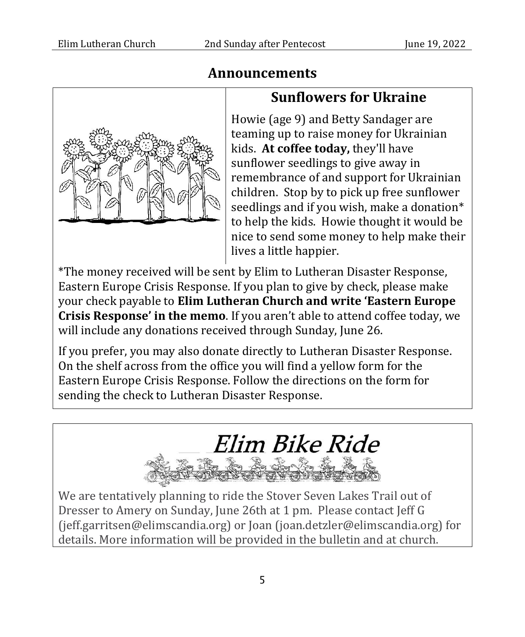

# **Announcements**

# **Sunflowers for Ukraine**

Howie (age 9) and Betty Sandager are teaming up to raise money for Ukrainian kids. **At coffee today,** they'll have sunflower seedlings to give away in remembrance of and support for Ukrainian children. Stop by to pick up free sunflower seedlings and if you wish, make a donation\* to help the kids. Howie thought it would be nice to send some money to help make their lives a little happier.

\*The money received will be sent by Elim to Lutheran Disaster Response, Eastern Europe Crisis Response. If you plan to give by check, please make your check payable to **Elim Lutheran Church and write 'Eastern Europe Crisis Response' in the memo**. If you aren't able to attend coffee today, we will include any donations received through Sunday, June 26.

If you prefer, you may also donate directly to Lutheran Disaster Response. On the shelf across from the office you will find a yellow form for the Eastern Europe Crisis Response. Follow the directions on the form for sending the check to Lutheran Disaster Response.



We are tentatively planning to ride the Stover Seven Lakes Trail out of Dresser to Amery on Sunday, June 26th at 1 pm. Please contact Jeff G (jeff.garritsen@elimscandia.org) or Joan (joan.detzler@elimscandia.org) for details. More information will be provided in the bulletin and at church.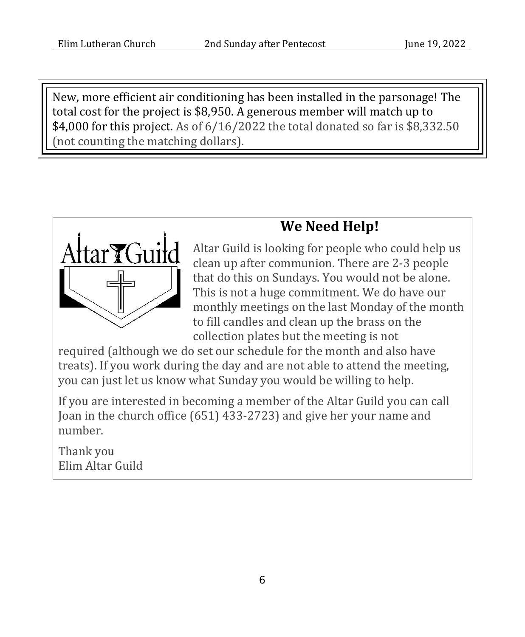New, more efficient air conditioning has been installed in the parsonage! The total cost for the project is \$8,950. A generous member will match up to \$4,000 for this project. As of 6/16/2022 the total donated so far is \$8,332.50 (not counting the matching dollars).

# **We Need Help!**



Altar Guild is looking for people who could help us clean up after communion. There are 2-3 people that do this on Sundays. You would not be alone. This is not a huge commitment. We do have our monthly meetings on the last Monday of the month to fill candles and clean up the brass on the collection plates but the meeting is not

required (although we do set our schedule for the month and also have treats). If you work during the day and are not able to attend the meeting, you can just let us know what Sunday you would be willing to help.

If you are interested in becoming a member of the Altar Guild you can call Joan in the church office (651) 433-2723) and give her your name and number.

Thank you Elim Altar Guild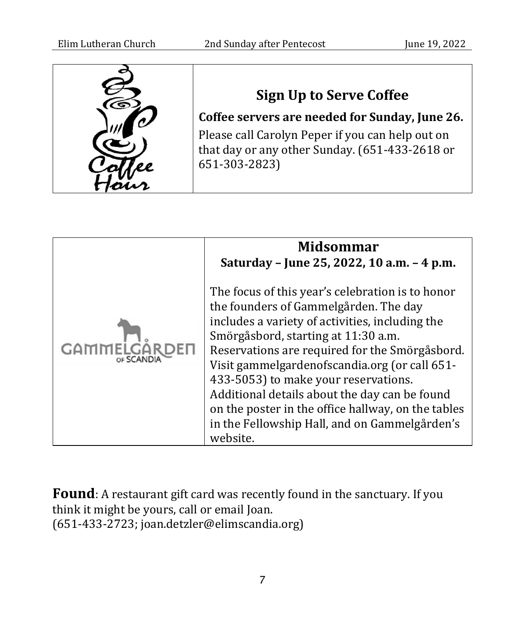

**Sign Up to Serve Coffee**

**Coffee servers are needed for Sunday, June 26.** Please call Carolyn Peper if you can help out on that day or any other Sunday. (651-433-2618 or 651-303-2823)

| <b>Midsommar</b><br>Saturday - June 25, 2022, 10 a.m. - 4 p.m.                                                                                                                                                                                                                                                                                                                                                                                                                                     |
|----------------------------------------------------------------------------------------------------------------------------------------------------------------------------------------------------------------------------------------------------------------------------------------------------------------------------------------------------------------------------------------------------------------------------------------------------------------------------------------------------|
| The focus of this year's celebration is to honor<br>the founders of Gammelgården. The day<br>includes a variety of activities, including the<br>Smörgåsbord, starting at 11:30 a.m.<br>Reservations are required for the Smörgåsbord.<br>Visit gammelgardenofscandia.org (or call 651-<br>433-5053) to make your reservations.<br>Additional details about the day can be found<br>on the poster in the office hallway, on the tables<br>in the Fellowship Hall, and on Gammelgården's<br>website. |

**Found**: A restaurant gift card was recently found in the sanctuary. If you think it might be yours, call or email Joan. (651-433-2723; joan.detzler@elimscandia.org)